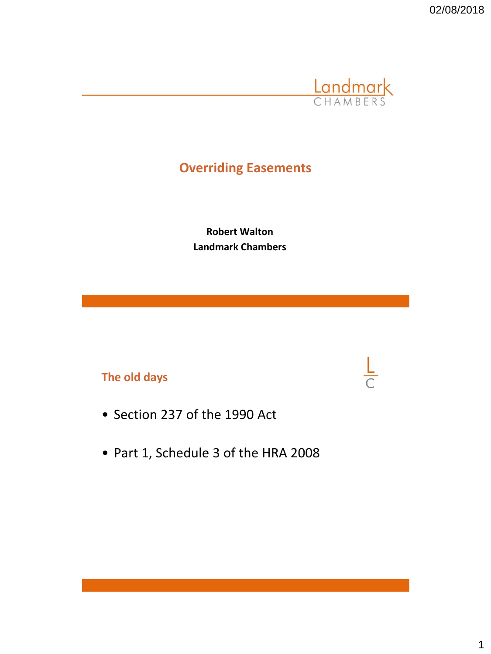02/08/2018



 $\frac{L}{C}$ 

# **Overriding Easements**

**Robert Walton Landmark Chambers**

# **The old days**

- Section 237 of the 1990 Act
- Part 1, Schedule 3 of the HRA 2008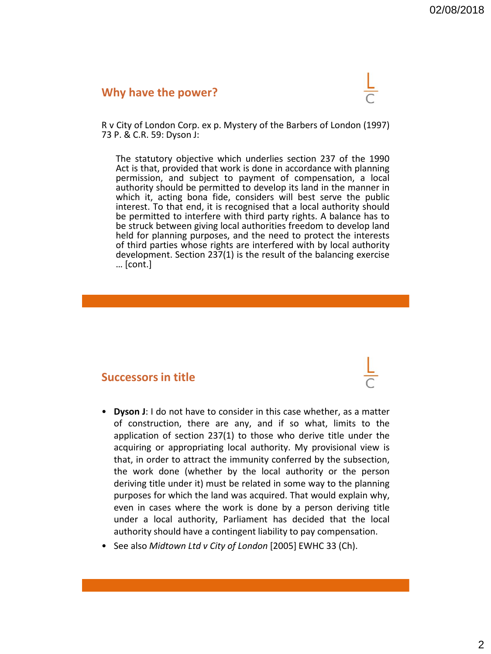#### **Why have the power?**



R v City of London Corp. ex p. Mystery of the Barbers of London (1997) 73 P. & C.R. 59: Dyson J:

The statutory objective which underlies section 237 of the 1990 Act is that, provided that work is done in accordance with planning permission, and subject to payment of compensation, a local authority should be permitted to develop its land in the manner in which it, acting bona fide, considers will best serve the public interest. To that end, it is recognised that a local authority should be permitted to interfere with third party rights. A balance has to be struck between giving local authorities freedom to develop land held for planning purposes, and the need to protect the interests of third parties whose rights are interfered with by local authority development. Section 237(1) is the result of the balancing exercise … [cont.]

#### **Successors in title**

- **Dyson J**: I do not have to consider in this case whether, as a matter of construction, there are any, and if so what, limits to the application of section 237(1) to those who derive title under the acquiring or appropriating local authority. My provisional view is that, in order to attract the immunity conferred by the subsection, the work done (whether by the local authority or the person deriving title under it) must be related in some way to the planning purposes for which the land was acquired. That would explain why, even in cases where the work is done by a person deriving title under a local authority, Parliament has decided that the local authority should have a contingent liability to pay compensation.
- See also *Midtown Ltd v City of London* [2005] EWHC 33 (Ch).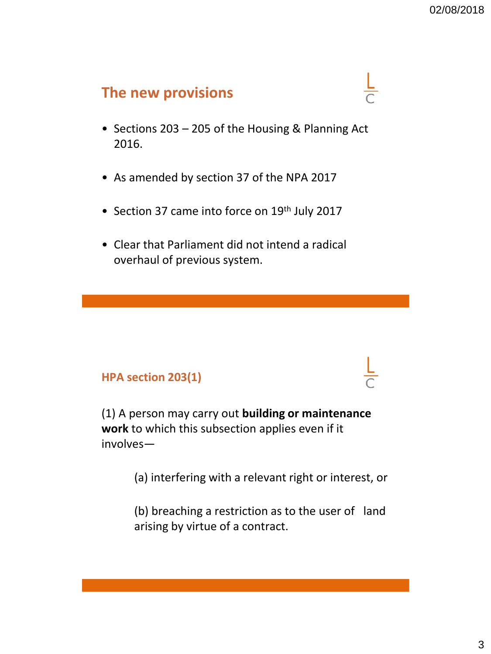# **The new provisions**

- Sections 203 205 of the Housing & Planning Act 2016.
- As amended by section 37 of the NPA 2017
- Section 37 came into force on 19<sup>th</sup> July 2017
- Clear that Parliament did not intend a radical overhaul of previous system.

# **HPA section 203(1)**

(1) A person may carry out **building or maintenance work** to which this subsection applies even if it involves—

(a) interfering with a relevant right or interest, or

(b) breaching a restriction as to the user of land arising by virtue of a contract.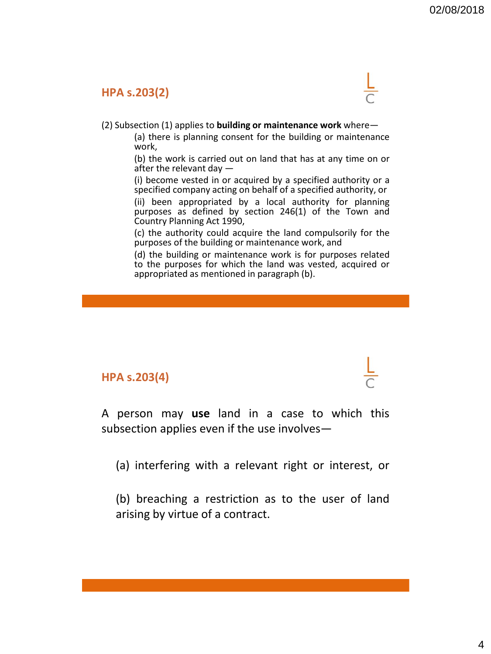### **HPA s.203(2)**



(2) Subsection (1) applies to **building or maintenance work** where—

(a) there is planning consent for the building or maintenance work,

(b) the work is carried out on land that has at any time on or after the relevant day —

(i) become vested in or acquired by a specified authority or a specified company acting on behalf of a specified authority, or

(ii) been appropriated by a local authority for planning purposes as defined by section 246(1) of the Town and Country Planning Act 1990,

(c) the authority could acquire the land compulsorily for the purposes of the building or maintenance work, and

(d) the building or maintenance work is for purposes related to the purposes for which the land was vested, acquired or appropriated as mentioned in paragraph (b).

### **HPA s.203(4)**

A person may **use** land in a case to which this subsection applies even if the use involves—

(a) interfering with a relevant right or interest, or

(b) breaching a restriction as to the user of land arising by virtue of a contract.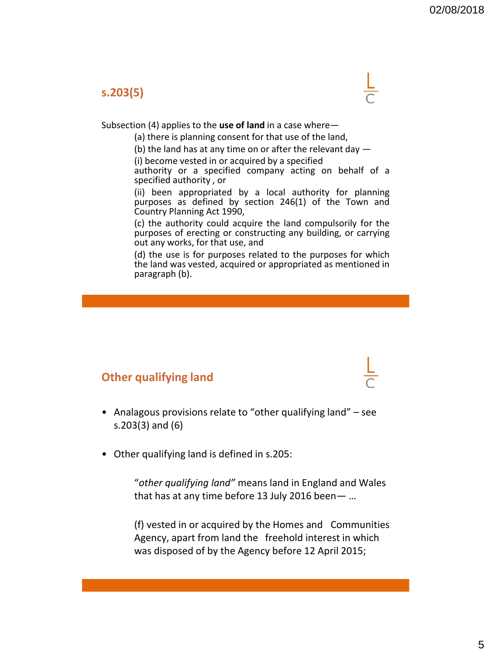### **s.203(5)**



#### Subsection (4) applies to the **use of land** in a case where—

(a) there is planning consent for that use of the land,

(b) the land has at any time on or after the relevant day  $-$ 

(i) become vested in or acquired by a specified

authority or a specified company acting on behalf of a specified authority , or

(ii) been appropriated by a local authority for planning purposes as defined by section 246(1) of the Town and Country Planning Act 1990,

(c) the authority could acquire the land compulsorily for the purposes of erecting or constructing any building, or carrying out any works, for that use, and

(d) the use is for purposes related to the purposes for which the land was vested, acquired or appropriated as mentioned in paragraph (b).

# **Other qualifying land**

- Analagous provisions relate to "other qualifying land" see s.203(3) and (6)
- Other qualifying land is defined in s.205:

"*other qualifying land"* means land in England and Wales that has at any time before 13 July 2016 been— …

(f) vested in or acquired by the Homes and Communities Agency, apart from land the freehold interest in which was disposed of by the Agency before 12 April 2015;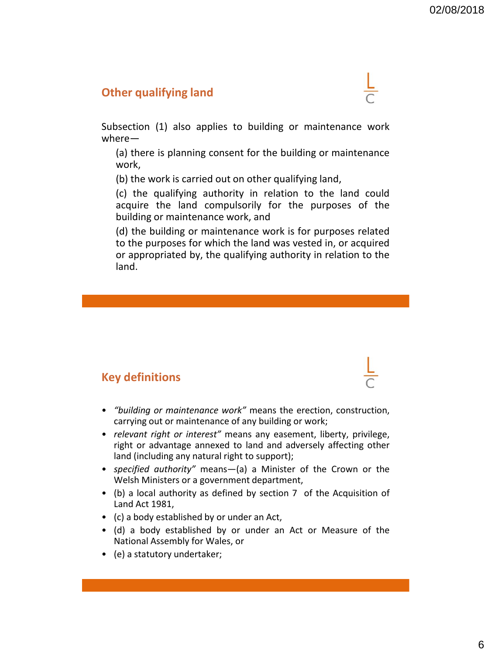### **Other qualifying land**



Subsection (1) also applies to building or maintenance work where—

(a) there is planning consent for the building or maintenance work,

(b) the work is carried out on other qualifying land,

(c) the qualifying authority in relation to the land could acquire the land compulsorily for the purposes of the building or maintenance work, and

(d) the building or maintenance work is for purposes related to the purposes for which the land was vested in, or acquired or appropriated by, the qualifying authority in relation to the land.

# **Key definitions**

- 
- *"building or maintenance work"* means the erection, construction, carrying out or maintenance of any building or work;
- *relevant right or interest"* means any easement, liberty, privilege, right or advantage annexed to land and adversely affecting other land (including any natural right to support);
- *specified authority"* means—(a) a Minister of the Crown or the Welsh Ministers or a government department,
- (b) a local authority as defined by section 7 of the Acquisition of Land Act 1981,
- (c) a body established by or under an Act,
- (d) a body established by or under an Act or Measure of the National Assembly for Wales, or
- (e) a statutory undertaker;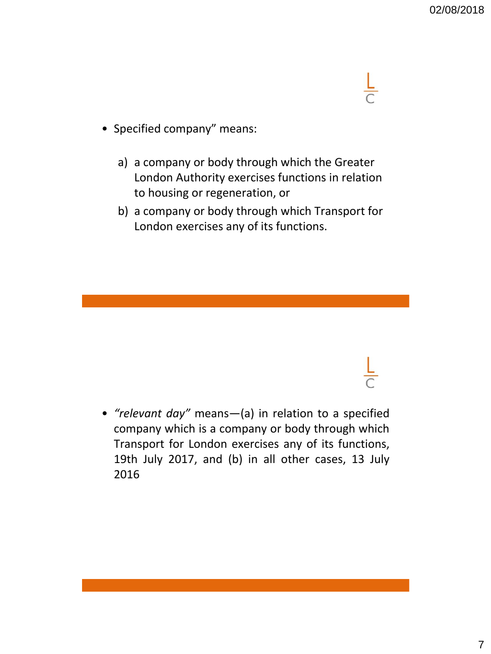

- Specified company" means:
	- a) a company or body through which the Greater London Authority exercises functions in relation to housing or regeneration, or
	- b) a company or body through which Transport for London exercises any of its functions.

• *"relevant day"* means—(a) in relation to a specified company which is a company or body through which Transport for London exercises any of its functions, 19th July 2017, and (b) in all other cases, 13 July 2016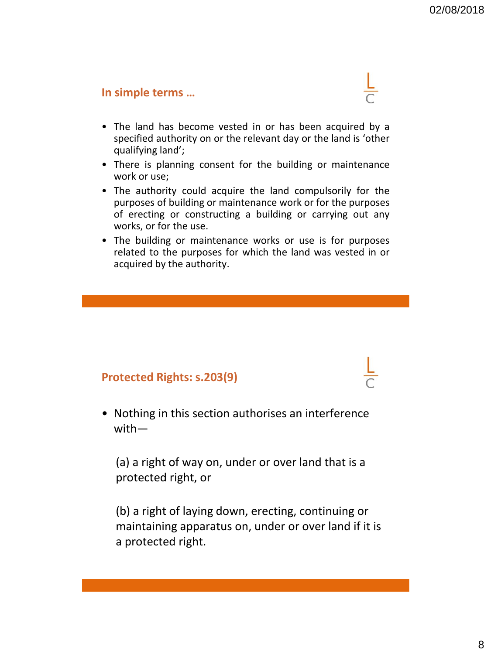### **In simple terms …**



- The land has become vested in or has been acquired by a specified authority on or the relevant day or the land is 'other qualifying land';
- There is planning consent for the building or maintenance work or use;
- The authority could acquire the land compulsorily for the purposes of building or maintenance work or for the purposes of erecting or constructing a building or carrying out any works, or for the use.
- The building or maintenance works or use is for purposes related to the purposes for which the land was vested in or acquired by the authority.

# **Protected Rights: s.203(9)**

• Nothing in this section authorises an interference with—

(a) a right of way on, under or over land that is a protected right, or

(b) a right of laying down, erecting, continuing or maintaining apparatus on, under or over land if it is a protected right.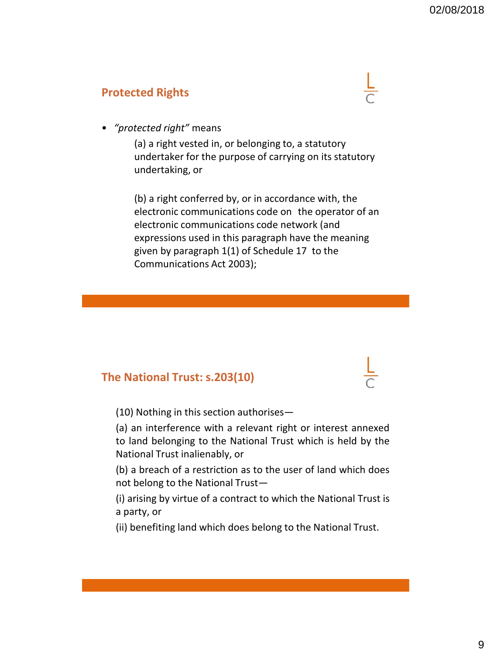# **Protected Rights**



• *"protected right"* means

(a) a right vested in, or belonging to, a statutory undertaker for the purpose of carrying on its statutory undertaking, or

(b) a right conferred by, or in accordance with, the electronic communications code on the operator of an electronic communications code network (and expressions used in this paragraph have the meaning given by paragraph 1(1) of Schedule 17 to the Communications Act 2003);

# **The National Trust: s.203(10)**

(10) Nothing in this section authorises—

(a) an interference with a relevant right or interest annexed to land belonging to the National Trust which is held by the National Trust inalienably, or

(b) a breach of a restriction as to the user of land which does not belong to the National Trust—

(i) arising by virtue of a contract to which the National Trust is a party, or

(ii) benefiting land which does belong to the National Trust.